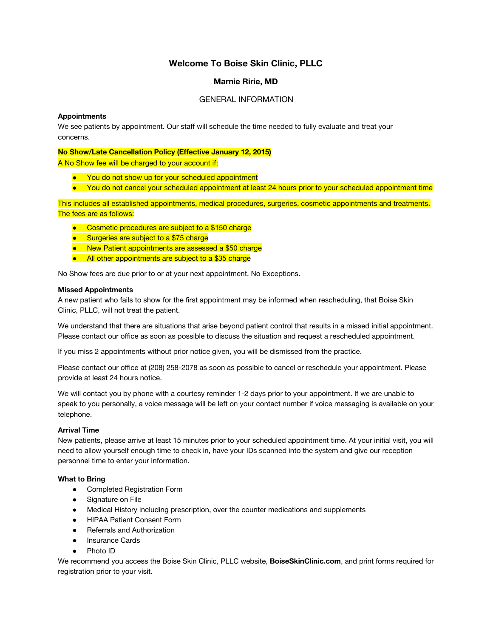# **Welcome To Boise Skin Clinic, PLLC**

#### **Marnie Ririe, MD**

#### GENERAL INFORMATION

#### **Appointments**

We see patients by appointment. Our staff will schedule the time needed to fully evaluate and treat your concerns.

#### **No Show/Late Cancellation Policy (Effective January 12, 2015)**

A No Show fee will be charged to your account if:

- You do not show up for your scheduled appointment
- You do not cancel your scheduled appointment at least 24 hours prior to your scheduled appointment time

This includes all established appointments, medical procedures, surgeries, cosmetic appointments and treatments. The fees are as follows:

- Cosmetic procedures are subject to a \$150 charge
- Surgeries are subject to a \$75 charge
- New Patient appointments are assessed a \$50 charge
- All other appointments are subject to a \$35 charge

No Show fees are due prior to or at your next appointment. No Exceptions.

#### **Missed Appointments**

A new patient who fails to show for the first appointment may be informed when rescheduling, that Boise Skin Clinic, PLLC, will not treat the patient.

We understand that there are situations that arise beyond patient control that results in a missed initial appointment. Please contact our office as soon as possible to discuss the situation and request a rescheduled appointment.

If you miss 2 appointments without prior notice given, you will be dismissed from the practice.

Please contact our office at (208) 258-2078 as soon as possible to cancel or reschedule your appointment. Please provide at least 24 hours notice.

We will contact you by phone with a courtesy reminder 1-2 days prior to your appointment. If we are unable to speak to you personally, a voice message will be left on your contact number if voice messaging is available on your telephone.

#### **Arrival Time**

New patients, please arrive at least 15 minutes prior to your scheduled appointment time. At your initial visit, you will need to allow yourself enough time to check in, have your IDs scanned into the system and give our reception personnel time to enter your information.

#### **What to Bring**

- Completed Registration Form
- Signature on File
- Medical History including prescription, over the counter medications and supplements
- HIPAA Patient Consent Form
- Referrals and Authorization
- **Insurance Cards**
- Photo ID

We recommend you access the Boise Skin Clinic, PLLC website, **BoiseSkinClinic.com**, and print forms required for registration prior to your visit.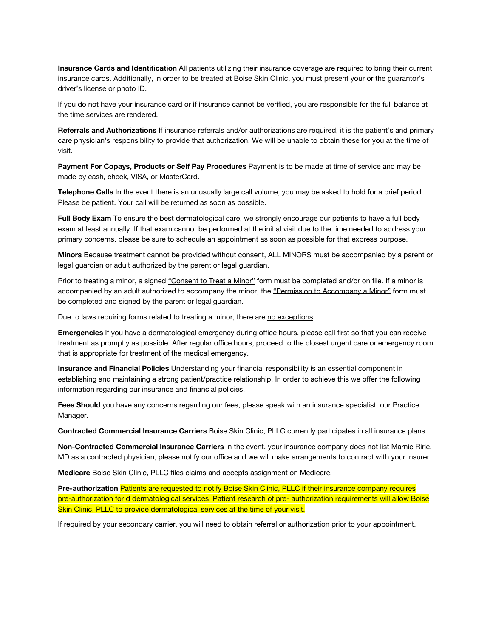**Insurance Cards and Identification** All patients utilizing their insurance coverage are required to bring their current insurance cards. Additionally, in order to be treated at Boise Skin Clinic, you must present your or the guarantor's driver's license or photo ID.

If you do not have your insurance card or if insurance cannot be verified, you are responsible for the full balance at the time services are rendered.

**Referrals and Authorizations** If insurance referrals and/or authorizations are required, it is the patient's and primary care physician's responsibility to provide that authorization. We will be unable to obtain these for you at the time of visit.

**Payment For Copays, Products or Self Pay Procedures** Payment is to be made at time of service and may be made by cash, check, VISA, or MasterCard.

**Telephone Calls** In the event there is an unusually large call volume, you may be asked to hold for a brief period. Please be patient. Your call will be returned as soon as possible.

**Full Body Exam** To ensure the best dermatological care, we strongly encourage our patients to have a full body exam at least annually. If that exam cannot be performed at the initial visit due to the time needed to address your primary concerns, please be sure to schedule an appointment as soon as possible for that express purpose.

**Minors** Because treatment cannot be provided without consent, ALL MINORS must be accompanied by a parent or legal guardian or adult authorized by the parent or legal guardian.

Prior to treating a minor, a signed "Consent to Treat a Minor" form must be completed and/or on file. If a minor is accompanied by an adult authorized to accompany the minor, the "Permission to Accompany a Minor" form must be completed and signed by the parent or legal guardian.

Due to laws requiring forms related to treating a minor, there are no exceptions.

**Emergencies** If you have a dermatological emergency during office hours, please call first so that you can receive treatment as promptly as possible. After regular office hours, proceed to the closest urgent care or emergency room that is appropriate for treatment of the medical emergency.

**Insurance and Financial Policies** Understanding your financial responsibility is an essential component in establishing and maintaining a strong patient/practice relationship. In order to achieve this we offer the following information regarding our insurance and financial policies.

**Fees Should** you have any concerns regarding our fees, please speak with an insurance specialist, our Practice Manager.

**Contracted Commercial Insurance Carriers** Boise Skin Clinic, PLLC currently participates in all insurance plans.

**Non-Contracted Commercial Insurance Carriers** In the event, your insurance company does not list Marnie Ririe, MD as a contracted physician, please notify our office and we will make arrangements to contract with your insurer.

**Medicare** Boise Skin Clinic, PLLC files claims and accepts assignment on Medicare.

**Pre-authorization** Patients are requested to notify Boise Skin Clinic, PLLC if their insurance company requires pre-authorization for d dermatological services. Patient research of pre- authorization requirements will allow Boise Skin Clinic, PLLC to provide dermatological services at the time of your visit.

If required by your secondary carrier, you will need to obtain referral or authorization prior to your appointment.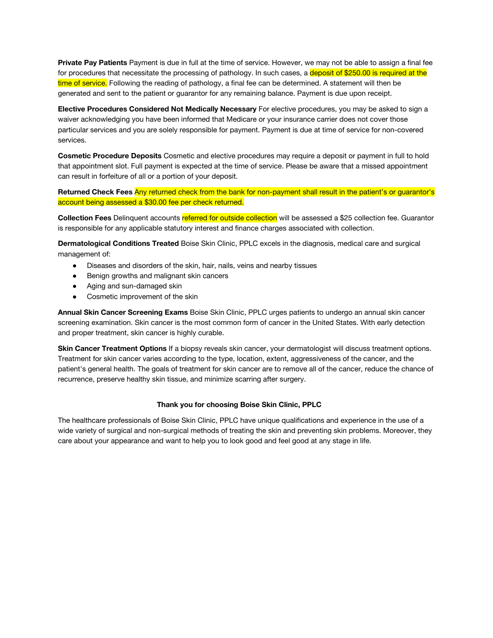**Private Pay Patients** Payment is due in full at the time of service. However, we may not be able to assign a final fee for procedures that necessitate the processing of pathology. In such cases, a deposit of \$250.00 is required at the time of service. Following the reading of pathology, a final fee can be determined. A statement will then be generated and sent to the patient or guarantor for any remaining balance. Payment is due upon receipt.

**Elective Procedures Considered Not Medically Necessary** For elective procedures, you may be asked to sign a waiver acknowledging you have been informed that Medicare or your insurance carrier does not cover those particular services and you are solely responsible for payment. Payment is due at time of service for non-covered services.

**Cosmetic Procedure Deposits** Cosmetic and elective procedures may require a deposit or payment in full to hold that appointment slot. Full payment is expected at the time of service. Please be aware that a missed appointment can result in forfeiture of all or a portion of your deposit.

**Returned Check Fees** Any returned check from the bank for non-payment shall result in the patient's or guarantor's account being assessed a \$30.00 fee per check returned.

**Collection Fees** Delinquent accounts referred for outside collection will be assessed a \$25 collection fee. Guarantor is responsible for any applicable statutory interest and finance charges associated with collection.

**Dermatological Conditions Treated** Boise Skin Clinic, PPLC excels in the diagnosis, medical care and surgical management of:

- Diseases and disorders of the skin, hair, nails, veins and nearby tissues
- Benign growths and malignant skin cancers
- Aging and sun-damaged skin
- Cosmetic improvement of the skin

**Annual Skin Cancer Screening Exams** Boise Skin Clinic, PPLC urges patients to undergo an annual skin cancer screening examination. Skin cancer is the most common form of cancer in the United States. With early detection and proper treatment, skin cancer is highly curable.

**Skin Cancer Treatment Options** If a biopsy reveals skin cancer, your dermatologist will discuss treatment options. Treatment for skin cancer varies according to the type, location, extent, aggressiveness of the cancer, and the patient's general health. The goals of treatment for skin cancer are to remove all of the cancer, reduce the chance of recurrence, preserve healthy skin tissue, and minimize scarring after surgery.

#### **Thank you for choosing Boise Skin Clinic, PPLC**

The healthcare professionals of Boise Skin Clinic, PPLC have unique qualifications and experience in the use of a wide variety of surgical and non-surgical methods of treating the skin and preventing skin problems. Moreover, they care about your appearance and want to help you to look good and feel good at any stage in life.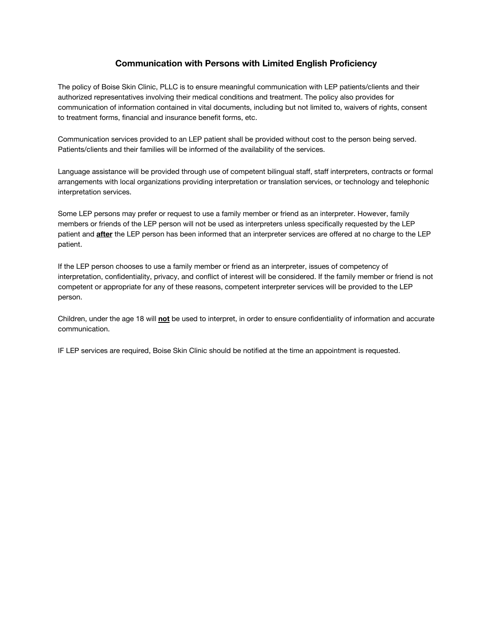## **Communication with Persons with Limited English Proficiency**

The policy of Boise Skin Clinic, PLLC is to ensure meaningful communication with LEP patients/clients and their authorized representatives involving their medical conditions and treatment. The policy also provides for communication of information contained in vital documents, including but not limited to, waivers of rights, consent to treatment forms, financial and insurance benefit forms, etc.

Communication services provided to an LEP patient shall be provided without cost to the person being served. Patients/clients and their families will be informed of the availability of the services.

Language assistance will be provided through use of competent bilingual staff, staff interpreters, contracts or formal arrangements with local organizations providing interpretation or translation services, or technology and telephonic interpretation services.

Some LEP persons may prefer or request to use a family member or friend as an interpreter. However, family members or friends of the LEP person will not be used as interpreters unless specifically requested by the LEP patient and **after** the LEP person has been informed that an interpreter services are offered at no charge to the LEP patient.

If the LEP person chooses to use a family member or friend as an interpreter, issues of competency of interpretation, confidentiality, privacy, and conflict of interest will be considered. If the family member or friend is not competent or appropriate for any of these reasons, competent interpreter services will be provided to the LEP person.

Children, under the age 18 will **not** be used to interpret, in order to ensure confidentiality of information and accurate communication.

IF LEP services are required, Boise Skin Clinic should be notified at the time an appointment is requested.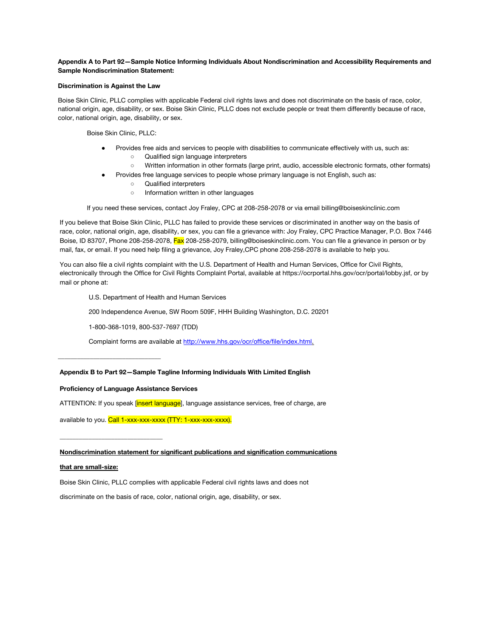#### **Appendix A to Part 92—Sample Notice Informing Individuals About Nondiscrimination and Accessibility Requirements and Sample Nondiscrimination Statement:**

#### **Discrimination is Against the Law**

Boise Skin Clinic, PLLC complies with applicable Federal civil rights laws and does not discriminate on the basis of race, color, national origin, age, disability, or sex. Boise Skin Clinic, PLLC does not exclude people or treat them differently because of race, color, national origin, age, disability, or sex.

Boise Skin Clinic, PLLC:

- Provides free aids and services to people with disabilities to communicate effectively with us, such as: ○ Qualified sign language interpreters
	- Written information in other formats (large print, audio, accessible electronic formats, other formats)
- Provides free language services to people whose primary language is not English, such as:
	- Qualified interpreters
	- Information written in other languages

If you need these services, contact Joy Fraley, CPC at 208-258-2078 or via email billing@boiseskinclinic.com

If you believe that Boise Skin Clinic, PLLC has failed to provide these services or discriminated in another way on the basis of race, color, national origin, age, disability, or sex, you can file a grievance with: Joy Fraley, CPC Practice Manager, P.O. Box 7446 Boise, ID 83707, Phone 208-258-2078, Fax 208-258-2079, billing@boiseskinclinic.com. You can file a grievance in person or by mail, fax, or email. If you need help filing a grievance, Joy Fraley,CPC phone 208-258-2078 is available to help you.

You can also file a civil rights complaint with the U.S. Department of Health and Human Services, Office for Civil Rights, electronically through the Office for Civil Rights Complaint Portal, available at https://ocrportal.hhs.gov/ocr/portal/lobby.jsf, or by mail or phone at:

U.S. Department of Health and Human Services

200 Independence Avenue, SW Room 509F, HHH Building Washington, D.C. 20201

1-800-368-1019, 800-537-7697 (TDD)

Complaint forms are available at http://www.hhs.gov/ocr/office/file/index.html.

#### **Appendix B to Part 92—Sample Tagline Informing Individuals With Limited English**

#### **Proficiency of Language Assistance Services**

**\_\_\_\_\_\_\_\_\_\_\_\_\_\_\_\_\_\_\_\_\_\_\_\_\_\_\_\_\_\_\_\_**

**\_\_\_\_\_\_\_\_\_\_\_\_\_\_\_\_\_\_\_\_\_\_\_\_\_\_\_\_\_\_\_\_**

ATTENTION: If you speak [insert language], language assistance services, free of charge, are

available to you. Call 1-xxx-xxx-xxxx (TTY: 1-xxx-xxx-xxxx).

#### **Nondiscrimination statement for significant publications and signification communications**

#### **that are small-size:**

Boise Skin Clinic, PLLC complies with applicable Federal civil rights laws and does not

discriminate on the basis of race, color, national origin, age, disability, or sex.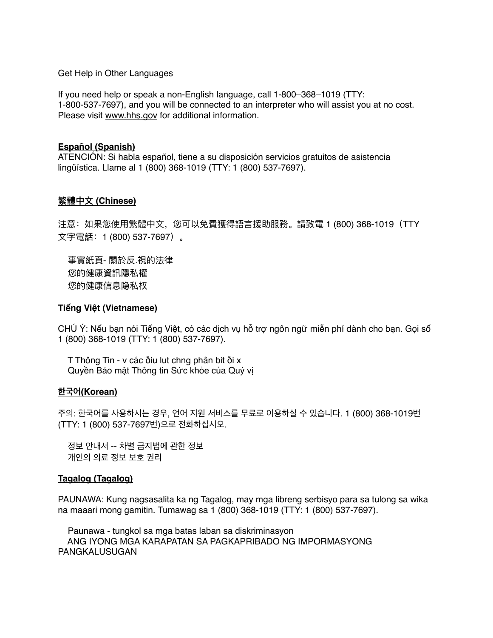Get Help in Other Languages

If you need help or speak a non-English language, call 1-800–368–1019 (TTY: 1-800-537-7697), and you will be connected to an interpreter who will assist you at no cost. Please visit www.hhs.gov for additional information.

### **Español (Spanish)**

ATENCIÓN: Si habla español, tiene a su disposición servicios gratuitos de asistencia lingüística. Llame al 1 (800) 368-1019 (TTY: 1 (800) 537-7697).

## **繁體中⽂ (Chinese)**

注意: 如果您使用繁體中文,您可以免費獲得語言援助服務。請致電 1 (800) 368-1019(TTY 文字電話: 1 (800) 537-7697)。

事實紙頁- 關於反.視的法律 您的健康資訊隱私權 您的健康信息隐私权

## **Tiếng Việt (Vietnamese)**

CHÚ Ý: Nếu bạn nói Tiếng Việt, có các dịch vụ hỗ trợ ngôn ngữ miễn phí dành cho bạn. Gọi số 1 (800) 368-1019 (TTY: 1 (800) 537-7697).

 T Thông Tin - v các ðiu lut chng phân bit ði x Quyền Bảo mật Thông tin Sức khỏe của Quý vị

### **한국어(Korean)**

주의: 한국어를 사용하시는 경우, 언어 지원 서비스를 무료로 이용하실 수 있습니다. 1 (800) 368-1019번 (TTY: 1 (800) 537-7697번)으로 전화하십시오.

 정보 안내서 -- 차별 금지법에 관한 정보 개인의 의료 정보 보호 권리

### **Tagalog (Tagalog)**

PAUNAWA: Kung nagsasalita ka ng Tagalog, may mga libreng serbisyo para sa tulong sa wika na maaari mong gamitin. Tumawag sa 1 (800) 368-1019 (TTY: 1 (800) 537-7697).

 Paunawa - tungkol sa mga batas laban sa diskriminasyon ANG IYONG MGA KARAPATAN SA PAGKAPRIBADO NG IMPORMASYONG PANGKALUSUGAN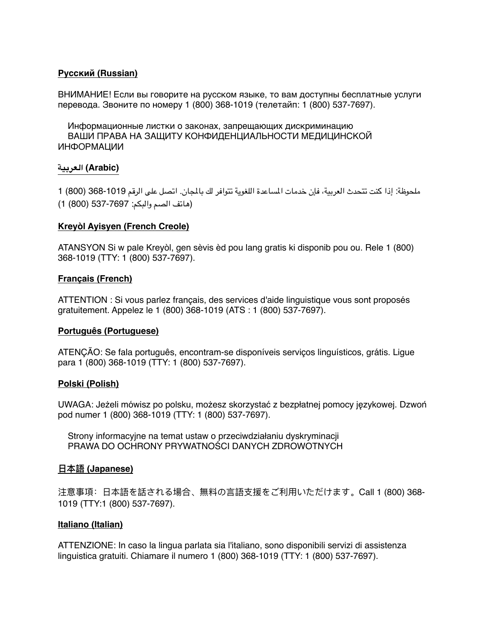# **Русский (Russian)**

ВНИМАНИЕ! Если вы говорите на русском языке, то вам доступны бесплатные услуги перевода. Звоните по номеру 1 (800) 368-1019 (телетайп: 1 (800) 537-7697).

 Информационные листки о законах, запрещающих дискриминацию ВАШИ ПРАВА НА ЗАЩИТУ КОНФИДЕНЦИАЛЬНОСТИ МЕДИЦИНСКОЙ ИНФОРМАЦИИ

## **(Arabic (العربية**

ملحوظة: إذا كنت تتحدث العربية، فإن خدمات الساعدة اللغوية تتوافر لك بالجان. اتصل على الرقم 368-1019 (800) 1 (هاتف الصم والبكم: 537-7697 (800) 1)

## **Kreyòl Ayisyen (French Creole)**

ATANSYON Si w pale Kreyòl, gen sèvis èd pou lang gratis ki disponib pou ou. Rele 1 (800) 368-1019 (TTY: 1 (800) 537-7697).

## **Français (French)**

ATTENTION : Si vous parlez français, des services d'aide linguistique vous sont proposés gratuitement. Appelez le 1 (800) 368-1019 (ATS : 1 (800) 537-7697).

### **Português (Portuguese)**

ATENÇÃO: Se fala português, encontram-se disponíveis serviços linguísticos, grátis. Ligue para 1 (800) 368-1019 (TTY: 1 (800) 537-7697).

### **Polski (Polish)**

UWAGA: Jeżeli mówisz po polsku, możesz skorzystać z bezpłatnej pomocy językowej. Dzwoń pod numer 1 (800) 368-1019 (TTY: 1 (800) 537-7697).

 Strony informacyjne na temat ustaw o przeciwdziałaniu dyskryminacji PRAWA DO OCHRONY PRYWATNOŚCI DANYCH ZDROWOTNYCH

# **⽇本語 (Japanese)**

注意事項: 日本語を話される場合、無料の言語支援をご利用いただけます。Call 1 (800) 368-1019 (TTY:1 (800) 537-7697).

### **Italiano (Italian)**

ATTENZIONE: In caso la lingua parlata sia l'italiano, sono disponibili servizi di assistenza linguistica gratuiti. Chiamare il numero 1 (800) 368-1019 (TTY: 1 (800) 537-7697).